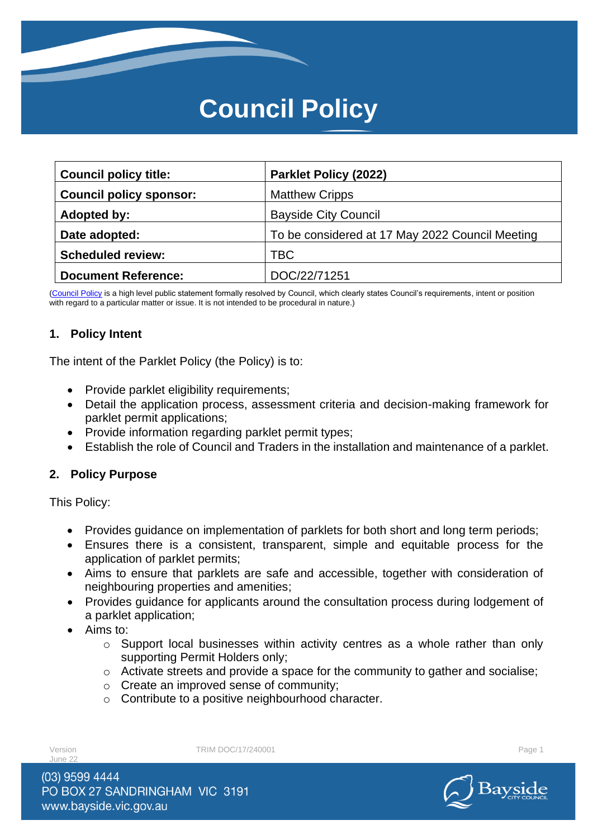# **Council Policy**

| <b>Council policy title:</b>   | <b>Parklet Policy (2022)</b>                    |
|--------------------------------|-------------------------------------------------|
| <b>Council policy sponsor:</b> | <b>Matthew Cripps</b>                           |
| Adopted by:                    | <b>Bayside City Council</b>                     |
| Date adopted:                  | To be considered at 17 May 2022 Council Meeting |
| <b>Scheduled review:</b>       | TBC                                             |
| <b>Document Reference:</b>     | DOC/22/71251                                    |

[\(Council Policy](https://au.promapp.com/baysidecitycouncil/Process/Minimode/Permalink/Bcgi4q5dmbZyRbMpz4vtYL) is a high level public statement formally resolved by Council, which clearly states Council's requirements, intent or position with regard to a particular matter or issue. It is not intended to be procedural in nature.)

## **1. Policy Intent**

The intent of the Parklet Policy (the Policy) is to:

- Provide parklet eligibility requirements;
- Detail the application process, assessment criteria and decision-making framework for parklet permit applications;
- Provide information regarding parklet permit types;
- Establish the role of Council and Traders in the installation and maintenance of a parklet.

#### **2. Policy Purpose**

This Policy:

- Provides guidance on implementation of parklets for both short and long term periods;
- Ensures there is a consistent, transparent, simple and equitable process for the application of parklet permits;
- Aims to ensure that parklets are safe and accessible, together with consideration of neighbouring properties and amenities;
- Provides guidance for applicants around the consultation process during lodgement of a parklet application;
- Aims to:
	- o Support local businesses within activity centres as a whole rather than only supporting Permit Holders only;
	- o Activate streets and provide a space for the community to gather and socialise;
	- o Create an improved sense of community;
	- o Contribute to a positive neighbourhood character.

 $l$ une 2

Version **TRIM DOC/17/240001** Page 1

(03) 9599 4444 PO BOX 27 SANDRINGHAM VIC 3191 www.bayside.vic.gov.au

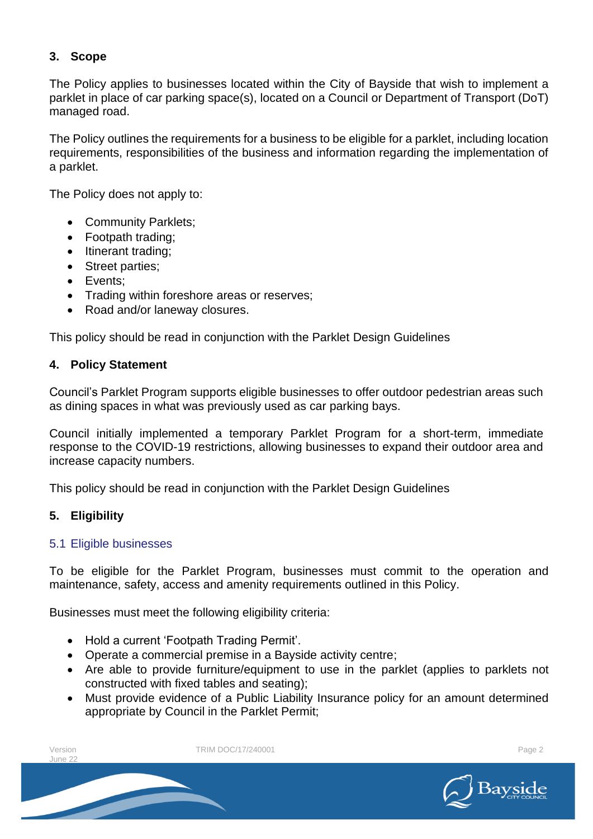# **3. Scope**

The Policy applies to businesses located within the City of Bayside that wish to implement a parklet in place of car parking space(s), located on a Council or Department of Transport (DoT) managed road.

The Policy outlines the requirements for a business to be eligible for a parklet, including location requirements, responsibilities of the business and information regarding the implementation of a parklet.

The Policy does not apply to:

- Community Parklets;
- Footpath trading;
- Itinerant trading;
- Street parties;
- Events;
- Trading within foreshore areas or reserves;
- Road and/or laneway closures.

This policy should be read in conjunction with the Parklet Design Guidelines

## **4. Policy Statement**

Council's Parklet Program supports eligible businesses to offer outdoor pedestrian areas such as dining spaces in what was previously used as car parking bays.

Council initially implemented a temporary Parklet Program for a short-term, immediate response to the COVID-19 restrictions, allowing businesses to expand their outdoor area and increase capacity numbers.

This policy should be read in conjunction with the Parklet Design Guidelines

# **5. Eligibility**

#### 5.1 Eligible businesses

To be eligible for the Parklet Program, businesses must commit to the operation and maintenance, safety, access and amenity requirements outlined in this Policy.

Businesses must meet the following eligibility criteria:

- Hold a current 'Footpath Trading Permit'.
- Operate a commercial premise in a Bayside activity centre;
- Are able to provide furniture/equipment to use in the parklet (applies to parklets not constructed with fixed tables and seating);
- Must provide evidence of a Public Liability Insurance policy for an amount determined appropriate by Council in the Parklet Permit;

| Version<br>June 22 | TRIM DOC/17/240001 | Page 2       |
|--------------------|--------------------|--------------|
|                    |                    | Bayside<br>⌒ |

Bayside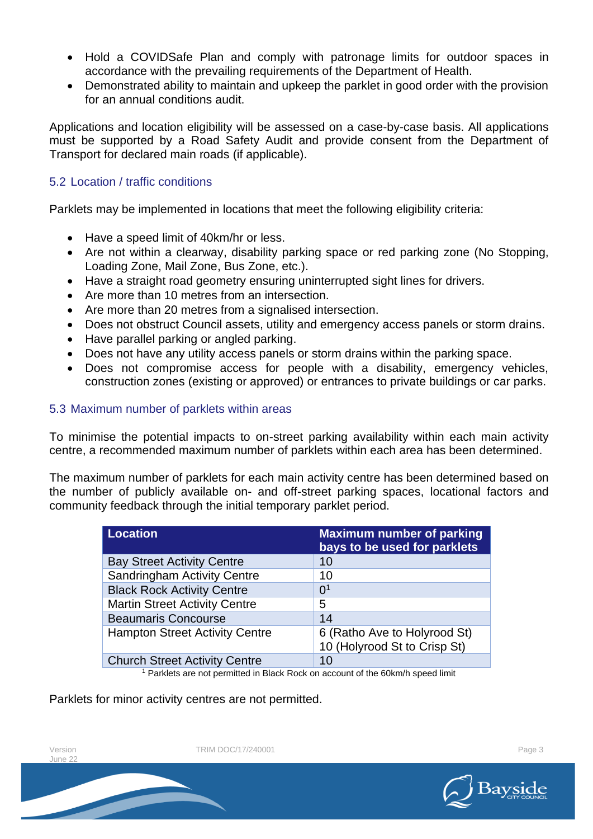- Hold a COVIDSafe Plan and comply with patronage limits for outdoor spaces in accordance with the prevailing requirements of the Department of Health.
- Demonstrated ability to maintain and upkeep the parklet in good order with the provision for an annual conditions audit.

Applications and location eligibility will be assessed on a case-by-case basis. All applications must be supported by a Road Safety Audit and provide consent from the Department of Transport for declared main roads (if applicable).

#### 5.2 Location / traffic conditions

Parklets may be implemented in locations that meet the following eligibility criteria:

- Have a speed limit of 40km/hr or less.
- Are not within a clearway, disability parking space or red parking zone (No Stopping, Loading Zone, Mail Zone, Bus Zone, etc.).
- Have a straight road geometry ensuring uninterrupted sight lines for drivers.
- Are more than 10 metres from an intersection.
- Are more than 20 metres from a signalised intersection.
- Does not obstruct Council assets, utility and emergency access panels or storm drains.
- Have parallel parking or angled parking.
- Does not have any utility access panels or storm drains within the parking space.
- Does not compromise access for people with a disability, emergency vehicles, construction zones (existing or approved) or entrances to private buildings or car parks.

## 5.3 Maximum number of parklets within areas

To minimise the potential impacts to on-street parking availability within each main activity centre, a recommended maximum number of parklets within each area has been determined.

The maximum number of parklets for each main activity centre has been determined based on the number of publicly available on- and off-street parking spaces, locational factors and community feedback through the initial temporary parklet period.

| <b>Location</b>                       | <b>Maximum number of parking</b><br>bays to be used for parklets |
|---------------------------------------|------------------------------------------------------------------|
| <b>Bay Street Activity Centre</b>     | 10                                                               |
| <b>Sandringham Activity Centre</b>    | 10                                                               |
| <b>Black Rock Activity Centre</b>     | 0 <sup>1</sup>                                                   |
| <b>Martin Street Activity Centre</b>  | 5                                                                |
| <b>Beaumaris Concourse</b>            | 14                                                               |
| <b>Hampton Street Activity Centre</b> | 6 (Ratho Ave to Holyrood St)<br>10 (Holyrood St to Crisp St)     |
| <b>Church Street Activity Centre</b>  | 10                                                               |

<sup>1</sup> Parklets are not permitted in Black Rock on account of the 60km/h speed limit

Parklets for minor activity centres are not permitted.

 $l$ une 22

Version **TRIM DOC/17/240001 Page 3** 

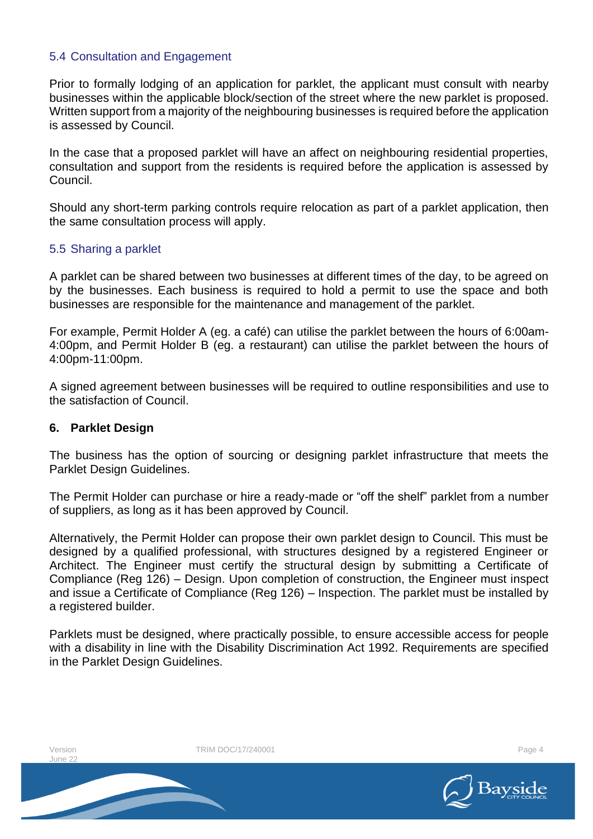## 5.4 Consultation and Engagement

Prior to formally lodging of an application for parklet, the applicant must consult with nearby businesses within the applicable block/section of the street where the new parklet is proposed. Written support from a majority of the neighbouring businesses is required before the application is assessed by Council.

In the case that a proposed parklet will have an affect on neighbouring residential properties, consultation and support from the residents is required before the application is assessed by Council.

Should any short-term parking controls require relocation as part of a parklet application, then the same consultation process will apply.

#### 5.5 Sharing a parklet

A parklet can be shared between two businesses at different times of the day, to be agreed on by the businesses. Each business is required to hold a permit to use the space and both businesses are responsible for the maintenance and management of the parklet.

For example, Permit Holder A (eg. a café) can utilise the parklet between the hours of 6:00am-4:00pm, and Permit Holder B (eg. a restaurant) can utilise the parklet between the hours of 4:00pm-11:00pm.

A signed agreement between businesses will be required to outline responsibilities and use to the satisfaction of Council.

#### **6. Parklet Design**

The business has the option of sourcing or designing parklet infrastructure that meets the Parklet Design Guidelines.

The Permit Holder can purchase or hire a ready-made or "off the shelf" parklet from a number of suppliers, as long as it has been approved by Council.

Alternatively, the Permit Holder can propose their own parklet design to Council. This must be designed by a qualified professional, with structures designed by a registered Engineer or Architect. The Engineer must certify the structural design by submitting a Certificate of Compliance (Reg 126) – Design. Upon completion of construction, the Engineer must inspect and issue a Certificate of Compliance (Reg 126) – Inspection. The parklet must be installed by a registered builder.

Parklets must be designed, where practically possible, to ensure accessible access for people with a disability in line with the Disability Discrimination Act 1992. Requirements are specified in the Parklet Design Guidelines.

 $l$ une 22

Version **TRIM DOC/17/240001** Page 4

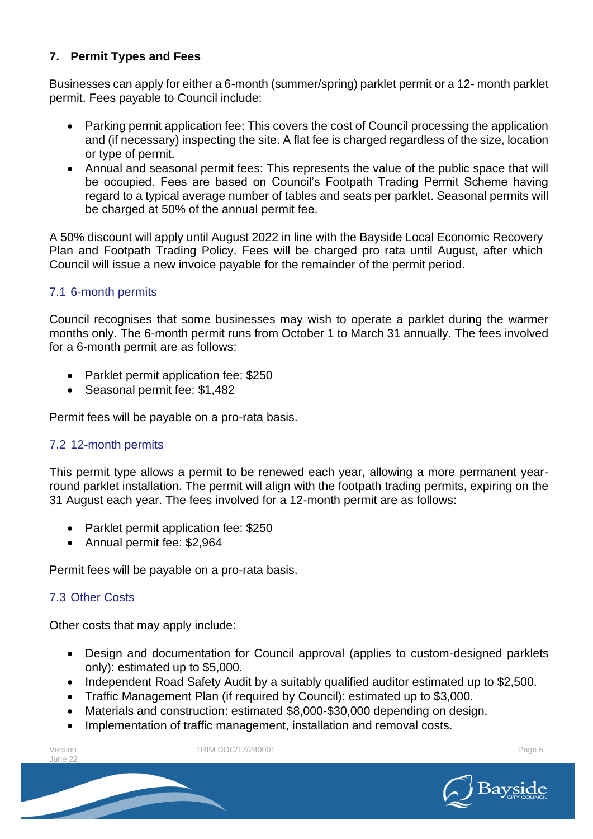# **7. Permit Types and Fees**

Businesses can apply for either a 6-month (summer/spring) parklet permit or a 12- month parklet permit. Fees payable to Council include:

- Parking permit application fee: This covers the cost of Council processing the application and (if necessary) inspecting the site. A flat fee is charged regardless of the size, location or type of permit.
- Annual and seasonal permit fees: This represents the value of the public space that will be occupied. Fees are based on Council's Footpath Trading Permit Scheme having regard to a typical average number of tables and seats per parklet. Seasonal permits will be charged at 50% of the annual permit fee.

A 50% discount will apply until August 2022 in line with the Bayside Local Economic Recovery Plan and Footpath Trading Policy. Fees will be charged pro rata until August, after which Council will issue a new invoice payable for the remainder of the permit period.

# 7.1 6-month permits

Council recognises that some businesses may wish to operate a parklet during the warmer months only. The 6-month permit runs from October 1 to March 31 annually. The fees involved for a 6-month permit are as follows:

- Parklet permit application fee: \$250
- Seasonal permit fee: \$1,482

Permit fees will be payable on a pro-rata basis.

# 7.2 12-month permits

This permit type allows a permit to be renewed each year, allowing a more permanent yearround parklet installation. The permit will align with the footpath trading permits, expiring on the 31 August each year. The fees involved for a 12-month permit are as follows:

- Parklet permit application fee: \$250
- Annual permit fee: \$2,964

Permit fees will be payable on a pro-rata basis.

# 7.3 Other Costs

Other costs that may apply include:

- Design and documentation for Council approval (applies to custom-designed parklets only): estimated up to \$5,000.
- Independent Road Safety Audit by a suitably qualified auditor estimated up to \$2,500.
- Traffic Management Plan (if required by Council): estimated up to \$3,000.
- Materials and construction: estimated \$8,000-\$30,000 depending on design.
- Implementation of traffic management, installation and removal costs.

June 22

Version **TRIM DOC/17/240001 Page 5** Page 5

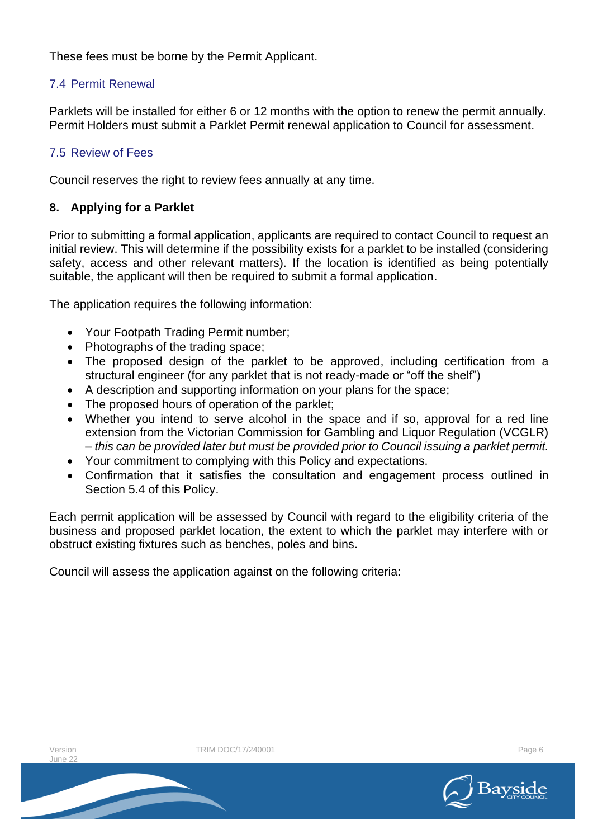These fees must be borne by the Permit Applicant.

# 7.4 Permit Renewal

Parklets will be installed for either 6 or 12 months with the option to renew the permit annually. Permit Holders must submit a Parklet Permit renewal application to Council for assessment.

# 7.5 Review of Fees

Council reserves the right to review fees annually at any time.

# **8. Applying for a Parklet**

Prior to submitting a formal application, applicants are required to contact Council to request an initial review. This will determine if the possibility exists for a parklet to be installed (considering safety, access and other relevant matters). If the location is identified as being potentially suitable, the applicant will then be required to submit a formal application.

The application requires the following information:

- Your Footpath Trading Permit number;
- Photographs of the trading space;
- The proposed design of the parklet to be approved, including certification from a structural engineer (for any parklet that is not ready-made or "off the shelf")
- A description and supporting information on your plans for the space;
- The proposed hours of operation of the parklet;
- Whether you intend to serve alcohol in the space and if so, approval for a red line extension from the Victorian Commission for Gambling and Liquor Regulation (VCGLR) – *this can be provided later but must be provided prior to Council issuing a parklet permit.*
- Your commitment to complying with this Policy and expectations.
- Confirmation that it satisfies the consultation and engagement process outlined in Section 5.4 of this Policy.

Each permit application will be assessed by Council with regard to the eligibility criteria of the business and proposed parklet location, the extent to which the parklet may interfere with or obstruct existing fixtures such as benches, poles and bins.

Council will assess the application against on the following criteria:

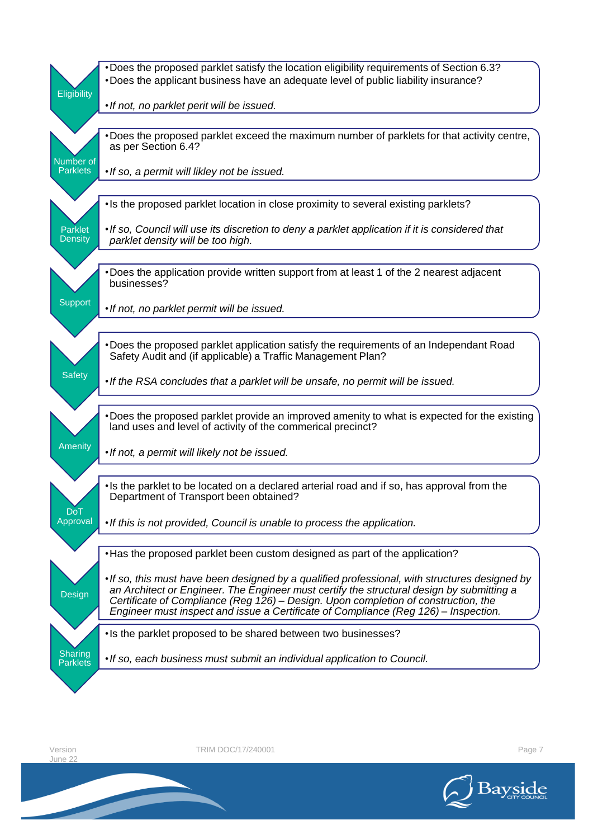|                              | •Does the proposed parklet satisfy the location eligibility requirements of Section 6.3?<br>•Does the applicant business have an adequate level of public liability insurance?                                                                                                                                                                                           |
|------------------------------|--------------------------------------------------------------------------------------------------------------------------------------------------------------------------------------------------------------------------------------------------------------------------------------------------------------------------------------------------------------------------|
| Eligibility                  |                                                                                                                                                                                                                                                                                                                                                                          |
|                              | • If not, no parklet perit will be issued.                                                                                                                                                                                                                                                                                                                               |
|                              | . Does the proposed parklet exceed the maximum number of parklets for that activity centre,<br>as per Section 6.4?                                                                                                                                                                                                                                                       |
| Number of<br><b>Parklets</b> | • If so, a permit will likley not be issued.                                                                                                                                                                                                                                                                                                                             |
|                              |                                                                                                                                                                                                                                                                                                                                                                          |
|                              | • Is the proposed parklet location in close proximity to several existing parklets?                                                                                                                                                                                                                                                                                      |
| Parklet<br><b>Density</b>    | • If so, Council will use its discretion to deny a parklet application if it is considered that<br>parklet density will be too high.                                                                                                                                                                                                                                     |
|                              |                                                                                                                                                                                                                                                                                                                                                                          |
|                              | •Does the application provide written support from at least 1 of the 2 nearest adjacent<br>businesses?                                                                                                                                                                                                                                                                   |
| <b>Support</b>               | . If not, no parklet permit will be issued.                                                                                                                                                                                                                                                                                                                              |
|                              |                                                                                                                                                                                                                                                                                                                                                                          |
|                              | •Does the proposed parklet application satisfy the requirements of an Independant Road<br>Safety Audit and (if applicable) a Traffic Management Plan?                                                                                                                                                                                                                    |
| <b>Safety</b>                | • If the RSA concludes that a parklet will be unsafe, no permit will be issued.                                                                                                                                                                                                                                                                                          |
|                              | •Does the proposed parklet provide an improved amenity to what is expected for the existing<br>land uses and level of activity of the commerical precinct?                                                                                                                                                                                                               |
| Amenity                      | • If not, a permit will likely not be issued.                                                                                                                                                                                                                                                                                                                            |
| <b>DoT</b>                   | • Is the parklet to be located on a declared arterial road and if so, has approval from the<br>Department of Transport been obtained?                                                                                                                                                                                                                                    |
| Approval                     | . If this is not provided, Council is unable to process the application.                                                                                                                                                                                                                                                                                                 |
|                              | • Has the proposed parklet been custom designed as part of the application?                                                                                                                                                                                                                                                                                              |
| Design                       | • If so, this must have been designed by a qualified professional, with structures designed by<br>an Architect or Engineer. The Engineer must certify the structural design by submitting a<br>Certificate of Compliance (Reg 126) - Design. Upon completion of construction, the<br>Engineer must inspect and issue a Certificate of Compliance (Reg 126) – Inspection. |
|                              | • Is the parklet proposed to be shared between two businesses?                                                                                                                                                                                                                                                                                                           |
| Sharing<br><b>Parklets</b>   | • If so, each business must submit an individual application to Council.                                                                                                                                                                                                                                                                                                 |
|                              |                                                                                                                                                                                                                                                                                                                                                                          |

Version<br>June 22

TRIM DOC/17/240001 Page 7

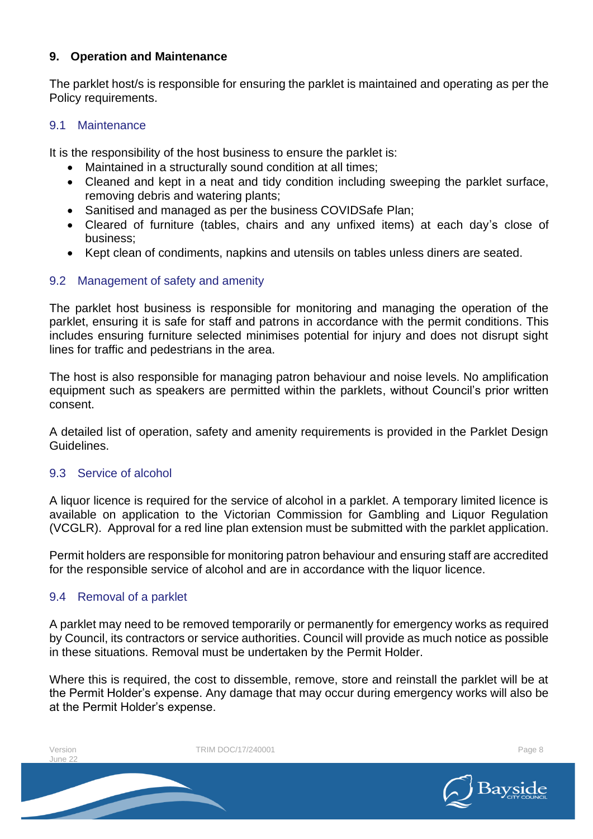## **9. Operation and Maintenance**

The parklet host/s is responsible for ensuring the parklet is maintained and operating as per the Policy requirements.

#### 9.1 Maintenance

It is the responsibility of the host business to ensure the parklet is:

- Maintained in a structurally sound condition at all times;
- Cleaned and kept in a neat and tidy condition including sweeping the parklet surface, removing debris and watering plants;
- Sanitised and managed as per the business COVIDSafe Plan;
- Cleared of furniture (tables, chairs and any unfixed items) at each day's close of business;
- Kept clean of condiments, napkins and utensils on tables unless diners are seated.

# 9.2 Management of safety and amenity

The parklet host business is responsible for monitoring and managing the operation of the parklet, ensuring it is safe for staff and patrons in accordance with the permit conditions. This includes ensuring furniture selected minimises potential for injury and does not disrupt sight lines for traffic and pedestrians in the area.

The host is also responsible for managing patron behaviour and noise levels. No amplification equipment such as speakers are permitted within the parklets, without Council's prior written consent.

A detailed list of operation, safety and amenity requirements is provided in the Parklet Design Guidelines.

# 9.3 Service of alcohol

A liquor licence is required for the service of alcohol in a parklet. A temporary limited licence is available on application to the Victorian Commission for Gambling and Liquor Regulation (VCGLR). Approval for a red line plan extension must be submitted with the parklet application.

Permit holders are responsible for monitoring patron behaviour and ensuring staff are accredited for the responsible service of alcohol and are in accordance with the liquor licence.

# 9.4 Removal of a parklet

A parklet may need to be removed temporarily or permanently for emergency works as required by Council, its contractors or service authorities. Council will provide as much notice as possible in these situations. Removal must be undertaken by the Permit Holder.

Where this is required, the cost to dissemble, remove, store and reinstall the parklet will be at the Permit Holder's expense. Any damage that may occur during emergency works will also be at the Permit Holder's expense.

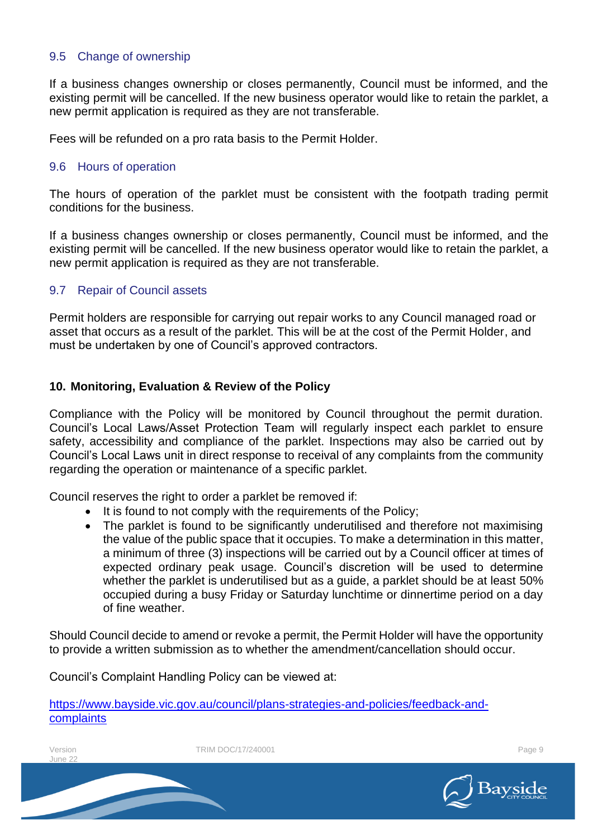## 9.5 Change of ownership

If a business changes ownership or closes permanently, Council must be informed, and the existing permit will be cancelled. If the new business operator would like to retain the parklet, a new permit application is required as they are not transferable.

Fees will be refunded on a pro rata basis to the Permit Holder.

#### 9.6 Hours of operation

The hours of operation of the parklet must be consistent with the footpath trading permit conditions for the business.

If a business changes ownership or closes permanently, Council must be informed, and the existing permit will be cancelled. If the new business operator would like to retain the parklet, a new permit application is required as they are not transferable.

## 9.7 Repair of Council assets

Permit holders are responsible for carrying out repair works to any Council managed road or asset that occurs as a result of the parklet. This will be at the cost of the Permit Holder, and must be undertaken by one of Council's approved contractors.

#### **10. Monitoring, Evaluation & Review of the Policy**

Compliance with the Policy will be monitored by Council throughout the permit duration. Council's Local Laws/Asset Protection Team will regularly inspect each parklet to ensure safety, accessibility and compliance of the parklet. Inspections may also be carried out by Council's Local Laws unit in direct response to receival of any complaints from the community regarding the operation or maintenance of a specific parklet.

Council reserves the right to order a parklet be removed if:

- It is found to not comply with the requirements of the Policy;
- The parklet is found to be significantly underutilised and therefore not maximising the value of the public space that it occupies. To make a determination in this matter, a minimum of three (3) inspections will be carried out by a Council officer at times of expected ordinary peak usage. Council's discretion will be used to determine whether the parklet is underutilised but as a guide, a parklet should be at least 50% occupied during a busy Friday or Saturday lunchtime or dinnertime period on a day of fine weather.

Should Council decide to amend or revoke a permit, the Permit Holder will have the opportunity to provide a written submission as to whether the amendment/cancellation should occur.

Council's Complaint Handling Policy can be viewed at:

[https://www.bayside.vic.gov.au/council/plans-strategies-and-policies/feedback-and](https://www.bayside.vic.gov.au/council/plans-strategies-and-policies/feedback-and-complaints)**[complaints](https://www.bayside.vic.gov.au/council/plans-strategies-and-policies/feedback-and-complaints)** 

 $l$ une 22

Version **TRIM DOC/17/240001 Page 9** Page 9